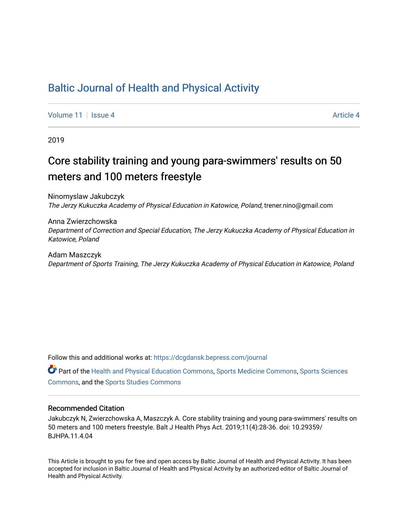## [Baltic Journal of Health and Physical Activity](https://dcgdansk.bepress.com/journal)

[Volume 11](https://dcgdansk.bepress.com/journal/vol11) | [Issue 4](https://dcgdansk.bepress.com/journal/vol11/iss4) Article 4

2019

## Core stability training and young para-swimmers' results on 50 meters and 100 meters freestyle

Ninomyslaw Jakubczyk The Jerzy Kukuczka Academy of Physical Education in Katowice, Poland, trener.nino@gmail.com

Anna Zwierzchowska Department of Correction and Special Education, The Jerzy Kukuczka Academy of Physical Education in Katowice, Poland

Adam Maszczyk Department of Sports Training, The Jerzy Kukuczka Academy of Physical Education in Katowice, Poland

Follow this and additional works at: [https://dcgdansk.bepress.com/journal](https://dcgdansk.bepress.com/journal?utm_source=dcgdansk.bepress.com%2Fjournal%2Fvol11%2Fiss4%2F4&utm_medium=PDF&utm_campaign=PDFCoverPages)

Part of the [Health and Physical Education Commons](http://network.bepress.com/hgg/discipline/1327?utm_source=dcgdansk.bepress.com%2Fjournal%2Fvol11%2Fiss4%2F4&utm_medium=PDF&utm_campaign=PDFCoverPages), [Sports Medicine Commons,](http://network.bepress.com/hgg/discipline/1331?utm_source=dcgdansk.bepress.com%2Fjournal%2Fvol11%2Fiss4%2F4&utm_medium=PDF&utm_campaign=PDFCoverPages) [Sports Sciences](http://network.bepress.com/hgg/discipline/759?utm_source=dcgdansk.bepress.com%2Fjournal%2Fvol11%2Fiss4%2F4&utm_medium=PDF&utm_campaign=PDFCoverPages) [Commons](http://network.bepress.com/hgg/discipline/759?utm_source=dcgdansk.bepress.com%2Fjournal%2Fvol11%2Fiss4%2F4&utm_medium=PDF&utm_campaign=PDFCoverPages), and the [Sports Studies Commons](http://network.bepress.com/hgg/discipline/1198?utm_source=dcgdansk.bepress.com%2Fjournal%2Fvol11%2Fiss4%2F4&utm_medium=PDF&utm_campaign=PDFCoverPages) 

#### Recommended Citation

Jakubczyk N, Zwierzchowska A, Maszczyk A. Core stability training and young para-swimmers' results on 50 meters and 100 meters freestyle. Balt J Health Phys Act. 2019;11(4):28-36. doi: 10.29359/ BJHPA.11.4.04

This Article is brought to you for free and open access by Baltic Journal of Health and Physical Activity. It has been accepted for inclusion in Baltic Journal of Health and Physical Activity by an authorized editor of Baltic Journal of Health and Physical Activity.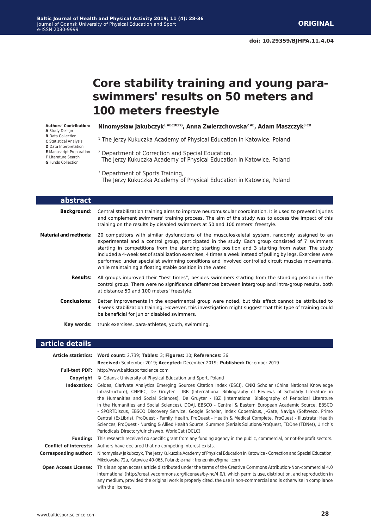# **Core stability training and young paraswimmers' results on 50 meters and 100 meters freestyle**

**Authors' Contribution: A** Study Design **B** Data Collection **C** Statistical Analysis

**D** Data Interpretation

**E** Manuscript Preparation

**F** Literature Search

**G** Funds Collection

**Ninomysław Jakubczyk1 ABCDEFG, Anna Zwierzchowska2 AE, Adam Maszczyk3 CD**

<sup>1</sup> The Jerzy Kukuczka Academy of Physical Education in Katowice, Poland

2 Department of Correction and Special Education, The Jerzy Kukuczka Academy of Physical Education in Katowice, Poland

<sup>3</sup> Department of Sports Training,

The Jerzy Kukuczka Academy of Physical Education in Katowice, Poland

| abstract                     |                                                                                                                                                                                                                                                                                                                                                                                                                                                                                                                                                                                           |
|------------------------------|-------------------------------------------------------------------------------------------------------------------------------------------------------------------------------------------------------------------------------------------------------------------------------------------------------------------------------------------------------------------------------------------------------------------------------------------------------------------------------------------------------------------------------------------------------------------------------------------|
| Background:                  | Central stabilization training aims to improve neuromuscular coordination. It is used to prevent injuries<br>and complement swimmers' training process. The aim of the study was to access the impact of this<br>training on the results by disabled swimmers at 50 and 100 meters' freestyle.                                                                                                                                                                                                                                                                                            |
| <b>Material and methods:</b> | 20 competitors with similar dysfunctions of the musculoskeletal system, randomly assigned to an<br>experimental and a control group, participated in the study. Each group consisted of 7 swimmers<br>starting in competitions from the standing starting position and 3 starting from water. The study<br>included a 4-week set of stabilization exercises, 4 times a week instead of pulling by legs. Exercises were<br>performed under specialist swimming conditions and involved controlled circuit muscles movements,<br>while maintaining a floating stable position in the water. |
| Results:                     | All groups improved their "best times", besides swimmers starting from the standing position in the<br>control group. There were no significance differences between intergroup and intra-group results, both<br>at distance 50 and 100 meters' freestyle.                                                                                                                                                                                                                                                                                                                                |
| <b>Conclusions:</b>          | Better improvements in the experimental group were noted, but this effect cannot be attributed to<br>4-week stabilization training. However, this investigation might suggest that this type of training could<br>be beneficial for junior disabled swimmers.                                                                                                                                                                                                                                                                                                                             |
|                              | <b>Key words:</b> trunk exercises, para-athletes, youth, swimming.                                                                                                                                                                                                                                                                                                                                                                                                                                                                                                                        |

#### **article details**

|                               | Article statistics: Word count: 2,739; Tables: 3; Figures: 10; References: 36                                                                                                                                                                                                                                                                                                                                                                                                                                                                                                                                                                                                                                                                                                                                                                                 |  |  |  |
|-------------------------------|---------------------------------------------------------------------------------------------------------------------------------------------------------------------------------------------------------------------------------------------------------------------------------------------------------------------------------------------------------------------------------------------------------------------------------------------------------------------------------------------------------------------------------------------------------------------------------------------------------------------------------------------------------------------------------------------------------------------------------------------------------------------------------------------------------------------------------------------------------------|--|--|--|
|                               | Received: September 2019; Accepted: December 2019; Published: December 2019                                                                                                                                                                                                                                                                                                                                                                                                                                                                                                                                                                                                                                                                                                                                                                                   |  |  |  |
|                               | <b>Full-text PDF:</b> http://www.balticsportscience.com                                                                                                                                                                                                                                                                                                                                                                                                                                                                                                                                                                                                                                                                                                                                                                                                       |  |  |  |
| Copyright                     | © Gdansk University of Physical Education and Sport, Poland                                                                                                                                                                                                                                                                                                                                                                                                                                                                                                                                                                                                                                                                                                                                                                                                   |  |  |  |
| Indexation:                   | Celdes, Clarivate Analytics Emerging Sources Citation Index (ESCI), CNKI Scholar (China National Knowledge<br>Infrastructure), CNPIEC, De Gruyter - IBR (International Bibliography of Reviews of Scholarly Literature in<br>the Humanities and Social Sciences), De Gruyter - IBZ (International Bibliography of Periodical Literature<br>in the Humanities and Social Sciences), DOAJ, EBSCO - Central & Eastern European Academic Source, EBSCO<br>- SPORTDiscus, EBSCO Discovery Service, Google Scholar, Index Copernicus, J-Gate, Naviga (Softweco, Primo<br>Central (ExLibris), ProQuest - Family Health, ProQuest - Health & Medical Complete, ProQuest - Illustrata: Health<br>Sciences, ProQuest - Nursing & Allied Health Source, Summon (Serials Solutions/ProQuest, TDOne (TDNet), Ulrich's<br>Periodicals Directory/ulrichsweb, WorldCat (OCLC) |  |  |  |
| <b>Funding:</b>               | This research received no specific grant from any funding agency in the public, commercial, or not-for-profit sectors.                                                                                                                                                                                                                                                                                                                                                                                                                                                                                                                                                                                                                                                                                                                                        |  |  |  |
| <b>Conflict of interests:</b> | Authors have declared that no competing interest exists.                                                                                                                                                                                                                                                                                                                                                                                                                                                                                                                                                                                                                                                                                                                                                                                                      |  |  |  |
| Corresponding author:         | Ninomysław Jakubczyk, The Jerzy Kukuczka Academy of Physical Education In Katowice - Correction and Special Education;<br>Mikołowska 72a, Katowice 40-065, Poland; e-mail: trener.nino@gmail.com                                                                                                                                                                                                                                                                                                                                                                                                                                                                                                                                                                                                                                                              |  |  |  |
| <b>Open Access License:</b>   | This is an open access article distributed under the terms of the Creative Commons Attribution-Non-commercial 4.0<br>International (http://creativecommons.org/licenses/by-nc/4.0/), which permits use, distribution, and reproduction in<br>any medium, provided the original work is properly cited, the use is non-commercial and is otherwise in compliance<br>with the license.                                                                                                                                                                                                                                                                                                                                                                                                                                                                          |  |  |  |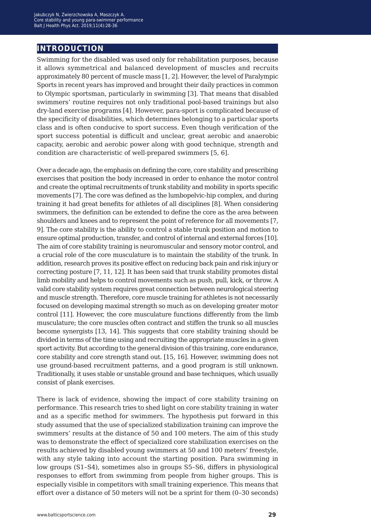## **introduction**

Swimming for the disabled was used only for rehabilitation purposes, because it allows symmetrical and balanced development of muscles and recruits approximately 80 percent of muscle mass [1, 2]. However, the level of Paralympic Sports in recent years has improved and brought their daily practices in common to Olympic sportsman, particularly in swimming [3]. That means that disabled swimmers' routine requires not only traditional pool-based trainings but also dry-land exercise programs [4]. However, para-sport is complicated because of the specificity of disabilities, which determines belonging to a particular sports class and is often conducive to sport success. Even though verification of the sport success potential is difficult and unclear, great aerobic and anaerobic capacity, aerobic and aerobic power along with good technique, strength and condition are characteristic of well-prepared swimmers [5, 6].

Over a decade ago, the emphasis on defining the core, core stability and prescribing exercises that position the body increased in order to enhance the motor control and create the optimal recruitments of trunk stability and mobility in sports specific movements [7]. The core was defined as the lumbopelvic-hip complex, and during training it had great benefits for athletes of all disciplines [8]. When considering swimmers, the definition can be extended to define the core as the area between shoulders and knees and to represent the point of reference for all movements [7, 9]. The core stability is the ability to control a stable trunk position and motion to ensure optimal production, transfer, and control of internal and external forces [10]. The aim of core stability training is neuromuscular and sensory motor control, and a crucial role of the core musculature is to maintain the stability of the trunk. In addition, research proves its positive effect on reducing back pain and risk injury or correcting posture [7, 11, 12]. It has been said that trunk stability promotes distal limb mobility and helps to control movements such as push, pull, kick, or throw. A valid core stability system requires great connection between neurological steering and muscle strength. Therefore, core muscle training for athletes is not necessarily focused on developing maximal strength so much as on developing greater motor control [11]. However, the core musculature functions differently from the limb musculature; the core muscles often contract and stiffen the trunk so all muscles become synergists [13, 14]. This suggests that core stability training should be divided in terms of the time using and recruiting the appropriate muscles in a given sport activity. But according to the general division of this training, core endurance, core stability and core strength stand out. [15, 16]. However, swimming does not use ground-based recruitment patterns, and a good program is still unknown. Traditionally, it uses stable or unstable ground and base techniques, which usually consist of plank exercises.

There is lack of evidence, showing the impact of core stability training on performance. This research tries to shed light on core stability training in water and as a specific method for swimmers. The hypothesis put forward in this study assumed that the use of specialized stabilization training can improve the swimmers' results at the distance of 50 and 100 meters. The aim of this study was to demonstrate the effect of specialized core stabilization exercises on the results achieved by disabled young swimmers at 50 and 100 meters' freestyle, with any style taking into account the starting position. Para swimming in low groups (S1–S4), sometimes also in groups S5–S6, differs in physiological responses to effort from swimming from people from higher groups. This is especially visible in competitors with small training experience. This means that effort over a distance of 50 meters will not be a sprint for them (0–30 seconds)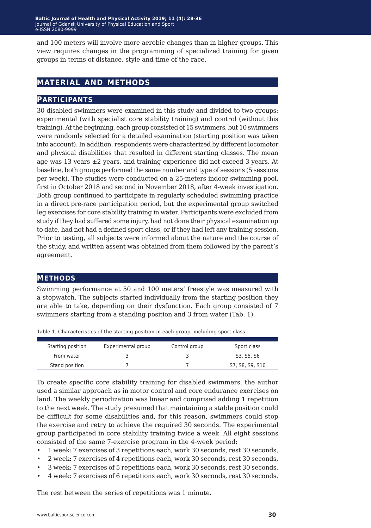and 100 meters will involve more aerobic changes than in higher groups. This view requires changes in the programming of specialized training for given groups in terms of distance, style and time of the race.

## **material and methods**

#### **participants**

30 disabled swimmers were examined in this study and divided to two groups: experimental (with specialist core stability training) and control (without this training). At the beginning, each group consisted of 15 swimmers, but 10 swimmers were randomly selected for a detailed examination (starting position was taken into account). In addition, respondents were characterized by different locomotor and physical disabilities that resulted in different starting classes. The mean age was 13 years  $\pm 2$  years, and training experience did not exceed 3 years. At baseline, both groups performed the same number and type of sessions (5 sessions per week). The studies were conducted on a 25-meters indoor swimming pool, first in October 2018 and second in November 2018, after 4-week investigation. Both group continued to participate in regularly scheduled swimming practice in a direct pre-race participation period, but the experimental group switched leg exercises for core stability training in water. Participants were excluded from study if they had suffered some injury, had not done their physical examination up to date, had not had a defined sport class, or if they had left any training session. Prior to testing, all subjects were informed about the nature and the course of the study, and written assent was obtained from them followed by the parent's agreement.

## **methods**

Swimming performance at 50 and 100 meters' freestyle was measured with a stopwatch. The subjects started individually from the starting position they are able to take, depending on their dysfunction. Each group consisted of 7 swimmers starting from a standing position and 3 from water (Tab. 1).

| Starting position | Experimental group | Control group | Sport class     |
|-------------------|--------------------|---------------|-----------------|
| From water        |                    |               | S3, S5, S6      |
| Stand position    |                    |               | S7, S8, S9, S10 |

Table 1. Characteristics of the starting position in each group, including sport class

To create specific core stability training for disabled swimmers, the author used a similar approach as in motor control and core endurance exercises on land. The weekly periodization was linear and comprised adding 1 repetition to the next week. The study presumed that maintaining a stable position could be difficult for some disabilities and, for this reason, swimmers could stop the exercise and retry to achieve the required 30 seconds. The experimental group participated in core stability training twice a week. All eight sessions consisted of the same 7-exercise program in the 4-week period:

- 1 week: 7 exercises of 3 repetitions each, work 30 seconds, rest 30 seconds,
- 2 week: 7 exercises of 4 repetitions each, work 30 seconds, rest 30 seconds,
- 3 week: 7 exercises of 5 repetitions each, work 30 seconds, rest 30 seconds,
- 4 week: 7 exercises of 6 repetitions each, work 30 seconds, rest 30 seconds.

The rest between the series of repetitions was 1 minute.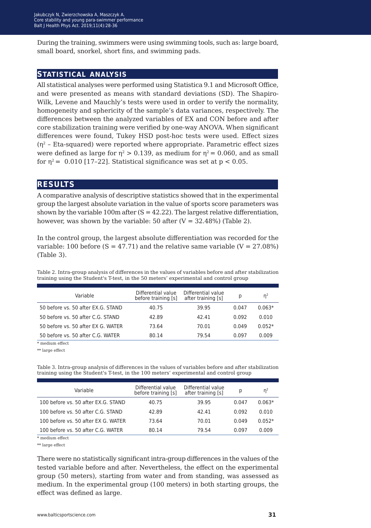During the training, swimmers were using swimming tools, such as: large board, small board, snorkel, short fins, and swimming pads.

#### **statistical analysis**

All statistical analyses were performed using Statistica 9.1 and Microsoft Office, and were presented as means with standard deviations (SD). The Shapiro-Wilk, Levene and Mauchly's tests were used in order to verify the normality, homogeneity and sphericity of the sample's data variances, respectively. The differences between the analyzed variables of EX and CON before and after core stabilization training were verified by one-way ANOVA. When significant differences were found, Tukey HSD post-hoc tests were used. Effect sizes  $(n^2 - Eta-squared)$  were reported where appropriate. Parametric effect sizes were defined as large for  $n^2 > 0.139$ , as medium for  $n^2 = 0.060$ , and as small for  $n^2$  = 0.010 [17-22]. Statistical significance was set at  $p < 0.05$ .

## **results**

A comparative analysis of descriptive statistics showed that in the experimental group the largest absolute variation in the value of sports score parameters was shown by the variable 100m after  $(S = 42.22)$ . The largest relative differentiation, however, was shown by the variable: 50 after  $(V = 32.48\%)$  (Table 2).

In the control group, the largest absolute differentiation was recorded for the variable: 100 before  $(S = 47.71)$  and the relative same variable  $(V = 27.08\%)$ (Table 3).

Table 2. Intra-group analysis of differences in the values of variables before and after stabilization training using the Student's T-test, in the 50 meters' experimental and control group

| Variable                           | Differential value<br>before training [s] | Differential value<br>after training [s] | p     | $n^2$    |
|------------------------------------|-------------------------------------------|------------------------------------------|-------|----------|
| 50 before vs. 50 after EX.G. STAND | 40.75                                     | 39.95                                    | 0.047 | $0.063*$ |
| 50 before vs. 50 after C.G. STAND  | 42.89                                     | 42.41                                    | 0.092 | 0.010    |
| 50 before vs. 50 after EX G. WATER | 73.64                                     | 70.01                                    | 0.049 | $0.052*$ |
| 50 before vs. 50 after C.G. WATER  | 80.14                                     | 79.54                                    | 0.097 | 0.009    |

\* medium effect

\*\* large effect

Table 3. Intra-group analysis of differences in the values of variables before and after stabilization training using the Student's T-test, in the 100 meters' experimental and control group

| Variable                            | Differential value<br>before training [s] | Differential value<br>after training [s] | p     | n <sup>2</sup> |
|-------------------------------------|-------------------------------------------|------------------------------------------|-------|----------------|
| 100 before vs. 50 after EX.G. STAND | 40.75                                     | 39.95                                    | 0.047 | $0.063*$       |
| 100 before vs. 50 after C.G. STAND  | 42.89                                     | 42.41                                    | 0.092 | 0.010          |
| 100 before vs. 50 after EX G. WATER | 73.64                                     | 70.01                                    | 0.049 | $0.052*$       |
| 100 before vs. 50 after C.G. WATER  | 80.14                                     | 79.54                                    | 0.097 | 0.009          |

\* medium effect

\*\* large effect

There were no statistically significant intra-group differences in the values of the tested variable before and after. Nevertheless, the effect on the experimental group (50 meters), starting from water and from standing, was assessed as medium. In the experimental group (100 meters) in both starting groups, the effect was defined as large.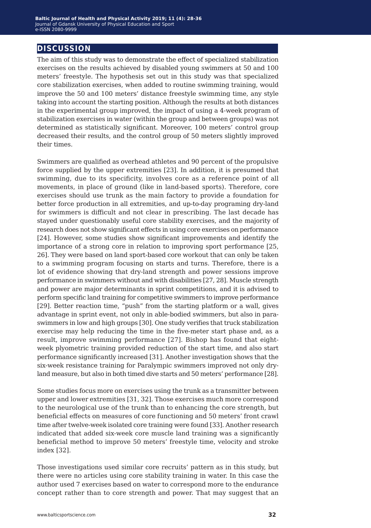## **discussion**

The aim of this study was to demonstrate the effect of specialized stabilization exercises on the results achieved by disabled young swimmers at 50 and 100 meters' freestyle. The hypothesis set out in this study was that specialized core stabilization exercises, when added to routine swimming training, would improve the 50 and 100 meters' distance freestyle swimming time, any style taking into account the starting position. Although the results at both distances in the experimental group improved, the impact of using a 4-week program of stabilization exercises in water (within the group and between groups) was not determined as statistically significant. Moreover, 100 meters' control group decreased their results, and the control group of 50 meters slightly improved their times.

Swimmers are qualified as overhead athletes and 90 percent of the propulsive force supplied by the upper extremities [23]. In addition, it is presumed that swimming, due to its specificity, involves core as a reference point of all movements, in place of ground (like in land-based sports). Therefore, core exercises should use trunk as the main factory to provide a foundation for better force production in all extremities, and up-to-day programing dry-land for swimmers is difficult and not clear in prescribing. The last decade has stayed under questionably useful core stability exercises, and the majority of research does not show significant effects in using core exercises on performance [24]. However, some studies show significant improvements and identify the importance of a strong core in relation to improving sport performance [25, 26]. They were based on land sport-based core workout that can only be taken to a swimming program focusing on starts and turns. Therefore, there is a lot of evidence showing that dry-land strength and power sessions improve performance in swimmers without and with disabilities [27, 28]. Muscle strength and power are major determinants in sprint competitions, and it is advised to perform specific land training for competitive swimmers to improve performance [29]. Better reaction time, "push" from the starting platform or a wall, gives advantage in sprint event, not only in able-bodied swimmers, but also in paraswimmers in low and high groups [30]. One study verifies that truck stabilization exercise may help reducing the time in the five-meter start phase and, as a result, improve swimming performance [27]. Bishop has found that eightweek plyometric training provided reduction of the start time, and also start performance significantly increased [31]. Another investigation shows that the six-week resistance training for Paralympic swimmers improved not only dryland measure, but also in both timed dive starts and 50 meters' performance [28].

Some studies focus more on exercises using the trunk as a transmitter between upper and lower extremities [31, 32]. Those exercises much more correspond to the neurological use of the trunk than to enhancing the core strength, but beneficial effects on measures of core functioning and 50 meters' front crawl time after twelve-week isolated core training were found [33]. Another research indicated that added six-week core muscle land training was a significantly beneficial method to improve 50 meters' freestyle time, velocity and stroke index [32].

Those investigations used similar core recruits' pattern as in this study, but there were no articles using core stability training in water. In this case the author used 7 exercises based on water to correspond more to the endurance concept rather than to core strength and power. That may suggest that an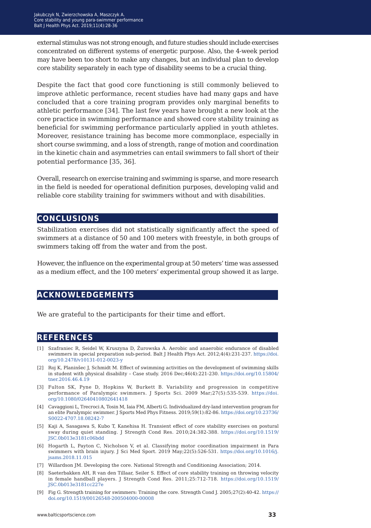external stimulus was not strong enough, and future studies should include exercises concentrated on different systems of energetic purpose. Also, the 4-week period may have been too short to make any changes, but an individual plan to develop core stability separately in each type of disability seems to be a crucial thing.

Despite the fact that good core functioning is still commonly believed to improve athletic performance, recent studies have had many gaps and have concluded that a core training program provides only marginal benefits to athletic performance [34]. The last few years have brought a new look at the core practice in swimming performance and showed core stability training as beneficial for swimming performance particularly applied in youth athletes. Moreover, resistance training has become more commonplace, especially in short course swimming, and a loss of strength, range of motion and coordination in the kinetic chain and asymmetries can entail swimmers to fall short of their potential performance [35, 36].

Overall, research on exercise training and swimming is sparse, and more research in the field is needed for operational definition purposes, developing valid and reliable core stability training for swimmers without and with disabilities.

## **conclusions**

Stabilization exercises did not statistically significantly affect the speed of swimmers at a distance of 50 and 100 meters with freestyle, in both groups of swimmers taking off from the water and from the post.

However, the influence on the experimental group at 50 meters' time was assessed as a medium effect, and the 100 meters' experimental group showed it as large.

## **acknowledgements**

We are grateful to the participants for their time and effort.

## **references**

- [1] Szafraniec R, Seidel W, Kruszyna D, Żurowska A. Aerobic and anaerobic endurance of disabled swimmers in special preparation sub-period. Balt J Health Phys Act. 2012;4(4):231-237. [https://doi.](https://doi.org/10.2478/v10131-012-0023-y) [org/10.2478/v10131-012-0023-y](https://doi.org/10.2478/v10131-012-0023-y)
- [2] Roj K, Planinšec J, Schmidt M. Effect of swimming activities on the development of swimming skills in student with physical disability – Case study. 2016 Dec;46(4):221-230. [https://doi.org/10.15804/](https://doi.org/10.15804/tner.2016.46.4.19) [tner.2016.46.4.19](https://doi.org/10.15804/tner.2016.46.4.19)
- [3] Fulton SK, Pyne D, Hopkins W, Burkett B. Variability and progression in competitive performance of Paralympic swimmers. J Sports Sci. 2009 Mar;27(5):535-539. [https://doi.](https://doi.org/10.1080/02640410802641418) [org/10.1080/02640410802641418](https://doi.org/10.1080/02640410802641418)
- [4] Cavaggioni L, Trecroci A, Tosin M, Iaia FM, Alberti G. Individualized dry-land intervention program for an elite Paralympic swimmer. J Sports Med Phys Fitness. 2019;59(1):82-86. [https://doi.org/10.23736/](https://doi.org/10.23736/S0022-4707.18.08242-7) [S0022-4707.18.08242-7](https://doi.org/10.23736/S0022-4707.18.08242-7)
- [5] Kaji A, Sasagawa S, Kubo T, Kanehisa H. Transient effect of core stability exercises on postural sway during quiet standing. J Strength Cond Res. 2010;24:382-388. [https://doi.org/10.1519/](https://doi.org/10.1519/JSC.0b013e3181c06bdd) [JSC.0b013e3181c06bdd](https://doi.org/10.1519/JSC.0b013e3181c06bdd)
- [6] Hogarth L, Payton C, Nicholson V, et al. Classifying motor coordination impairment in Para swimmers with brain injury. J Sci Med Sport. 2019 May;22(5):526-531. [https://doi.org/10.1016/j.](https://doi.org/10.1016/j.jsams.2018.11.015) [jsams.2018.11.015](https://doi.org/10.1016/j.jsams.2018.11.015)
- [7] Willardson JM. Developing the core. National Strength and Conditioning Association; 2014.
- [8] Saeterbakken AH, R van den Tillaar, Seiler S. Effect of core stability training on throwing velocity in female handball players. J Strength Cond Res. 2011;25:712-718. [https://doi.org/10.1519/](https://doi.org/10.1519/JSC.0b013e3181cc227e) [JSC.0b013e3181cc227e](https://doi.org/10.1519/JSC.0b013e3181cc227e)
- [9] Fig G. Strength training for swimmers: Training the core. Strength Cond J. 2005;27(2):40-42. https:// doi.org/10.1519/00126548-200504000-00008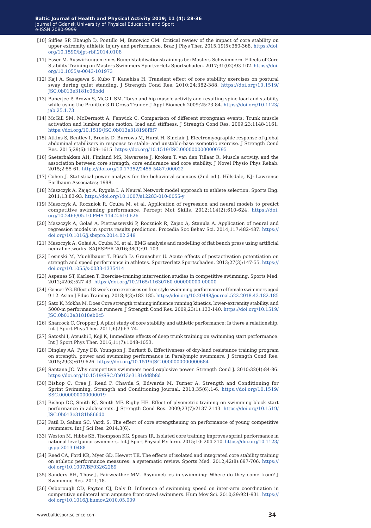- [10] Silfies SP, Ebaugh D, Pontillo M, Butowicz CM. Critical review of the impact of core stability on upper extremity athletic injury and performance. Braz J Phys Ther. 2015;19(5):360-368. [https://doi.](https://doi.org/10.1590/bjpt-rbf.2014.0108) [org/10.1590/bjpt-rbf.2014.0108](https://doi.org/10.1590/bjpt-rbf.2014.0108)
- [11] Esser M. Auswirkungen eines Rumpfstabilisationstrainings bei Masters-Schwimmern. Effects of Core Stability Training on Masters Swimmers Sportverletz Sportschaden. 2017;31(02):93-102. [https://doi.](https://doi.org/10.1055/s-0043-101973) [org/10.1055/s-0043-101973](https://doi.org/10.1055/s-0043-101973)
- [12] Kaji A, Sasagawa S, Kubo T, Kanehisa H. Transient effect of core stability exercises on postural sway during quiet standing. J Strength Cond Res. 2010;24:382-388. [https://doi.org/10.1519/](https://doi.org/10.1519/JSC.0b013e3181c06bdd) [JSC.0b013e3181c06bdd](https://doi.org/10.1519/JSC.0b013e3181c06bdd)
- [13] Banerjee P, Brown S, McGill SM. Torso and hip muscle activity and resulting spine load and stability while using the Profitter 3-D Cross Trainer. J Appl Biomech 2009;25:73-84. [https://doi.org/10.1123/](https://doi.org/10.1123/jab.25.1.73) [jab.25.1.73](https://doi.org/10.1123/jab.25.1.73)
- [14] McGill SM, McDermott A, Fenwick C. Comparison of different strongman events: Trunk muscle activation and lumbar spine motion, load and stiffness. J Strength Cond Res. 2009;23:1148-1161. <https://doi.org/10.1519/JSC.0b013e318198f8f7>
- [15] Atkins S, Bentley I, Brooks D, Burrows M, Hurst H, Sinclair J. Electromyographic response of global abdominal stabilizers in response to stable- and unstable-base isometric exercise. J Strength Cond Res. 2015;29(6):1609–1615.<https://doi.org/10.1519/JSC.0000000000000795>
- [16] Saeterbakken AH, Fimland MS, Navarsete J, Kroken T, van den Tillaar R. Muscle activity, and the association between core strength, core endurance and core stability. J Novel Physio Phys Rehab. 2015;2:55-61.<https://doi.org/10.17352/2455-5487.000022>
- [17] Cohen J. Statistical power analysis for the behavioral sciences (2nd ed.). Hillsdale, NJ: Lawrence Earlbaum Associates; 1998.
- [18] Maszczyk A, Zając A, Ryguła I. A Neural Network model approach to athlete selection. Sports Eng. 2011;13:83-93. <https://doi.org/10.1007/s12283-010-0055-y>
- [19] Maszczyk A, Roczniok R, Czuba M, et al. Application of regression and neural models to predict competitive swimming performance. Percept Mot Skills. 2012;114(2):610-624. [https://doi.](https://doi.org/10.2466/05.10.PMS.114.2.610-626) [org/10.2466/05.10.PMS.114.2.610-626](https://doi.org/10.2466/05.10.PMS.114.2.610-626)
- [20] Maszczyk A, Gołaś A, Pietraszewski P, Roczniok R, Zajac A, Stanula A. Application of neural and regression models in sports results prediction. Procedia Soc Behav Sci. 2014;117:482-487. [https://](https://doi.org/10.1016/j.sbspro.2014.02.249) [doi.org/10.1016/j.sbspro.2014.02.249](https://doi.org/10.1016/j.sbspro.2014.02.249)
- [21] Maszczyk A, Gołaś A, Czuba M, et al. EMG analysis and modelling of flat bench press using artificial neural networks. SAJRSPER 2016;38(1):91-103.
- [22] Lesinski M, Muehlbauer T, Büsch D, Granacher U. Acute effects of postactivation potentiation on strength and speed performance in athletes. Sportverletz Sportschaden. 2013;27(3):147-55. [https://](https://doi.org/10.1055/s-0033-1335414) [doi.org/10.1055/s-0033-1335414](https://doi.org/10.1055/s-0033-1335414)
- [23] Aspenes ST, Karlsen T. Exercise-training intervention studies in competitive swimming. Sports Med. 2012;42(6):527-43.<https://doi.org/10.2165/11630760-000000000-00000>
- [24] Gencer YG. Effect of 8-week core exercises on free style swimming performance of female swimmers aged 9-12. Asian J Educ Training. 2018;4(3):182-185. <https://doi.org/10.20448/journal.522.2018.43.182.185>
- [25] Sato K, Mokha M. Does Core strength training influence running kinetics, lower-extremity stability, and 5000-m performance in runners. J Strength Cond Res. 2009;23(1):133-140. [https://doi.org/10.1519/](https://doi.org/10.1519/JSC.0b013e31818eb0c5) [JSC.0b013e31818eb0c5](https://doi.org/10.1519/JSC.0b013e31818eb0c5)
- [26] Sharrock C, Cropper J. A pilot study of core stability and athletic performance: Is there a relationship. Int J Sport Phys Ther. 2011;6(2):63-74.
- [27] Satoshi I, Atsushi I, Koji K, Immediate effects of deep trunk training on swimming start performance. Int J Sport Phys Ther. 2016;11(7):1048-1053.
- [28] Dingley AA, Pyny DB, Youngson J. Burkett B. Effectiveness of dry-land resistance training program on strength, power and swimming performance in Paralympic swimmers. J Strength Cond Res. 2015;29(3):619-626. <https://doi.org/10.1519/JSC.0000000000000684>
- [29] Santana JC. Why competitive swimmers need explosive power. Strength Cond J. 2010;32(4):84-86. <https://doi.org/10.1519/SSC.0b013e3181dd8b8d>
- [30] Bishop C, Cree J, Read P, Chavda S, Edwards M, Turner A. Strength and Conditioning for Sprint Swimming, Strength and Conditioning Journal. 2013;35(6):1-6. [https://doi.org/10.1519/](https://doi.org/10.1519/SSC.0000000000000019) [SSC.0000000000000019](https://doi.org/10.1519/SSC.0000000000000019)
- [31] Bishop DC, Smith RJ, Smith MF, Rigby HE. Effect of plyometric training on swimming block start performance in adolescents. J Strength Cond Res. 2009;23(7):2137-2143. [https://doi.org/10.1519/](https://doi.org/10.1519/JSC.0b013e3181b866d0) [JSC.0b013e3181b866d0](https://doi.org/10.1519/JSC.0b013e3181b866d0)
- [32] Patil D, Salian SC, Yardi S. The effect of core strengthening on performance of young competitive swimmers. Int J Sci Res. 2014;3(6).
- [33] Weston M, Hibbs SE, Thompson KG, Spears IR. Isolated core training improves sprint performance in national-level junior swimmers. Int J Sport Physiol Perform. 2015;10: 204-210. [https://doi.org/10.1123/](https://doi.org/10.1123/ijspp.2013-0488) [ijspp.2013-0488](https://doi.org/10.1123/ijspp.2013-0488)
- [34] Reed CA, Ford KR, Myer GD, Hewett TE. The effects of isolated and integrated core stability training on athletic performance measures: a systematic review. Sports Med. 2012;42(8):697-706. [https://](https://doi.org/10.1007/BF03262289) [doi.org/10.1007/BF03262289](https://doi.org/10.1007/BF03262289)
- [35] Sanders RH, Thow J, Fairweather MM. Asymmetries in swimming: Where do they come from? J Swimming Res. 2011;18.
- [36] Osborough CD, Payton CJ, Daly D. Influence of swimming speed on inter-arm coordination in competitive unilateral arm amputee front crawl swimmers. Hum Mov Sci. 2010;29:921-931. [https://](https://doi.org/10.1016/j.humov.2010.05.009) [doi.org/10.1016/j.humov.2010.05.009](https://doi.org/10.1016/j.humov.2010.05.009)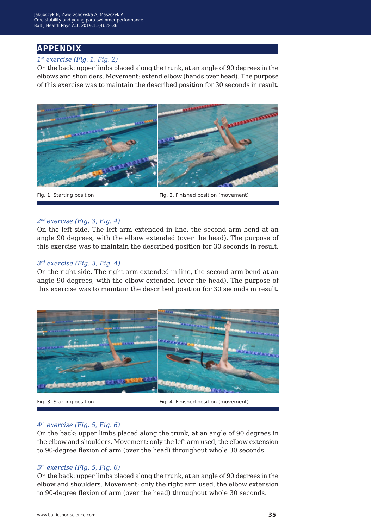## **appendix**

#### *1st exercise (Fig. 1, Fig. 2)*

On the back: upper limbs placed along the trunk, at an angle of 90 degrees in the elbows and shoulders. Movement: extend elbow (hands over head). The purpose of this exercise was to maintain the described position for 30 seconds in result.



Fig. 1. Starting position Fig. 2. Finished position (movement)

#### *2nd exercise (Fig. 3, Fig. 4)*

On the left side. The left arm extended in line, the second arm bend at an angle 90 degrees, with the elbow extended (over the head). The purpose of this exercise was to maintain the described position for 30 seconds in result.

#### *3rd exercise (Fig. 3, Fig. 4)*

On the right side. The right arm extended in line, the second arm bend at an angle 90 degrees, with the elbow extended (over the head). The purpose of this exercise was to maintain the described position for 30 seconds in result.



Fig. 3. Starting position Fig. 4. Finished position (movement)

#### *4th exercise (Fig. 5, Fig. 6)*

On the back: upper limbs placed along the trunk, at an angle of 90 degrees in the elbow and shoulders. Movement: only the left arm used, the elbow extension to 90-degree flexion of arm (over the head) throughout whole 30 seconds.

#### *5th exercise (Fig. 5, Fig. 6)*

On the back: upper limbs placed along the trunk, at an angle of 90 degrees in the elbow and shoulders. Movement: only the right arm used, the elbow extension to 90-degree flexion of arm (over the head) throughout whole 30 seconds.